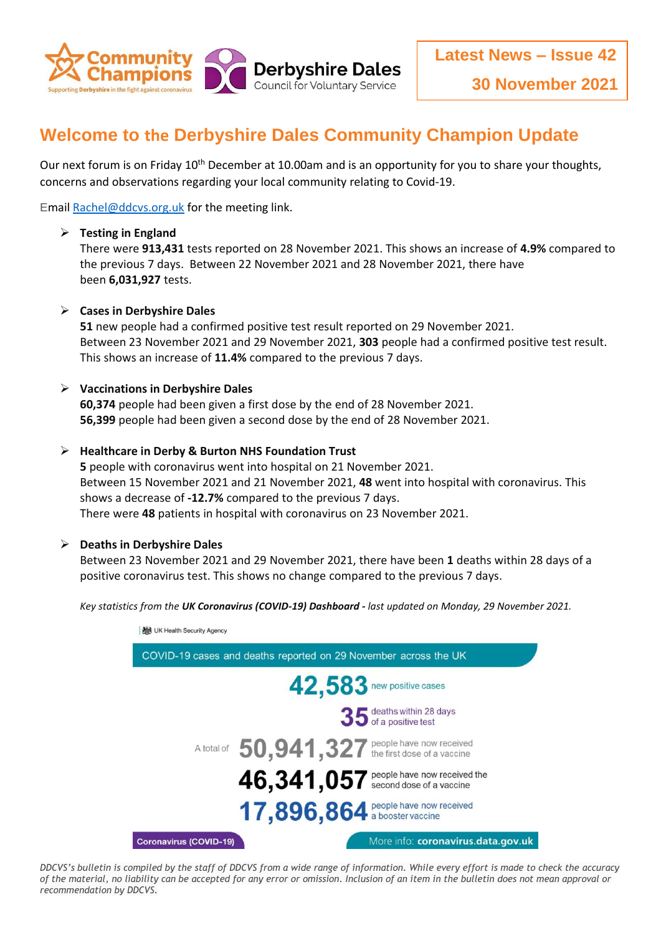

# **Welcome to the Derbyshire Dales Community Champion Update**

Our next forum is on Friday 10<sup>th</sup> December at 10.00am and is an opportunity for you to share your thoughts, concerns and observations regarding your local community relating to Covid-19.

Emai[l Rachel@ddcvs.org.uk](mailto:Rachel@ddcvs.org.uk) for the meeting link.

#### **Testing in England**

There were **913,431** tests reported on 28 November 2021. This shows an increase of **4.9%** compared to the previous 7 days. Between 22 November 2021 and 28 November 2021, there have been **6,031,927** tests.

#### **Cases in Derbyshire Dales**

**51** new people had a confirmed positive test result reported on 29 November 2021. Between 23 November 2021 and 29 November 2021, **303** people had a confirmed positive test result. This shows an increase of **11.4%** compared to the previous 7 days.

#### **Vaccinations in Derbyshire Dales**

**60,374** people had been given a first dose by the end of 28 November 2021. **56,399** people had been given a second dose by the end of 28 November 2021.

#### **Healthcare in Derby & Burton NHS Foundation Trust**

**5** people with coronavirus went into hospital on 21 November 2021. Between 15 November 2021 and 21 November 2021, **48** went into hospital with coronavirus. This shows a decrease of **-12.7%** compared to the previous 7 days. There were **48** patients in hospital with coronavirus on 23 November 2021.

#### **Deaths in Derbyshire Dales**

Between 23 November 2021 and 29 November 2021, there have been **1** deaths within 28 days of a positive coronavirus test. This shows no change compared to the previous 7 days.

*Key statistics from the UK Coronavirus (COVID-19) Dashboard - last updated on Monday, 29 November 2021.*



*DDCVS's bulletin is compiled by the staff of DDCVS from a wide range of information. While every effort is made to check the accuracy of the material, no liability can be accepted for any error or omission. Inclusion of an item in the bulletin does not mean approval or recommendation by DDCVS.*